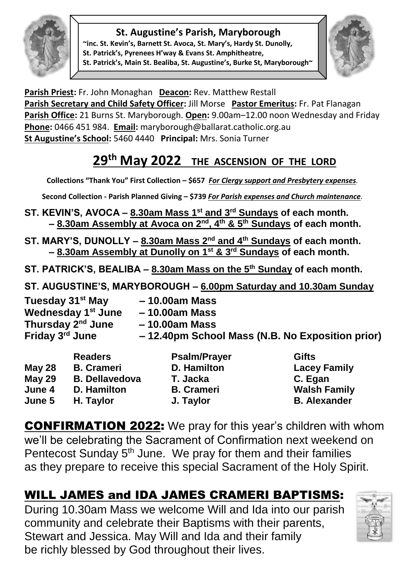#### **St. Augustine's Parish, Maryborough**



**~inc. St. Kevin's, Barnett St. Avoca, St. Mary's, Hardy St. Dunolly, St. Patrick's, Pyrenees H'way & Evans St. Amphitheatre, St. Patrick's, Main St. Bealiba, St. Augustine's, Burke St, Maryborough~**



**Parish Priest:** Fr. John Monaghan **Deacon:** Rev. Matthew Restall Parish Secretary and Child Safety Officer: Jill Morse Pastor Emeritus: Fr. Pat Flanagan **Parish Office:** 21 Burns St. Maryborough. **Open:** 9.00am–12.00 noon Wednesday and Friday **Phone:** 0466 451 984. **Email:** [maryborough@ballarat.catholic.org.au](mailto:maryborough@ballarat.catholic.org.au)  **St Augustine's School:** 5460 4440 **Principal:** Mrs. Sonia Turner

# **29 th May 2022 THE ASCENSION OF THE LORD**

**Collections "Thank You" First Collection – \$657** *For Clergy* **s***upport and Presbytery expenses.* 

**Second Collection - Parish Planned Giving – \$739** *For Parish expenses and Church maintenance.*

- **ST. KEVIN'S, AVOCA – 8.30am Mass 1st and 3rd Sundays of each month. – 8.30am Assembly at Avoca on 2nd, 4th & 5th Sundays of each month.**
- **ST. MARY'S, DUNOLLY – 8.30am Mass 2nd and 4th Sundays of each month. – 8.30am Assembly at Dunolly on 1st & 3rd Sundays of each month.**
- **ST. PATRICK'S, BEALIBA – 8.30am Mass on the 5th Sunday of each month.**

**ST. AUGUSTINE'S, MARYBOROUGH – 6.00pm Saturday and 10.30am Sunday**

**Tuesday 31st May – 10.00am Mass Wednesday 1 st June – 10.00am Mass Thursday 2 nd June – 10.00am Mass Friday 3 rd June – 12.40pm School Mass (N.B. No Exposition prior)**

| <b>May 28</b><br><b>May 29</b><br>June 4 | <b>Readers</b><br><b>B.</b> Crameri<br><b>B. Dellavedova</b><br><b>D.</b> Hamilton | <b>Psalm/Prayer</b><br><b>D. Hamilton</b><br>T. Jacka<br><b>B.</b> Crameri | <b>Gifts</b><br><b>Lacey Family</b><br>C. Egan<br><b>Walsh Family</b> |
|------------------------------------------|------------------------------------------------------------------------------------|----------------------------------------------------------------------------|-----------------------------------------------------------------------|
| June 5                                   | H. Taylor                                                                          | J. Taylor                                                                  | <b>B.</b> Alexander                                                   |

CONFIRMATION 2022: We pray for this year's children with whom we'll be celebrating the Sacrament of Confirmation next weekend on Pentecost Sunday 5<sup>th</sup> June. We pray for them and their families as they prepare to receive this special Sacrament of the Holy Spirit.

## WILL JAMES and IDA JAMES CRAMERI BAPTISMS:

During 10.30am Mass we welcome Will and Ida into our parish community and celebrate their Baptisms with their parents, Stewart and Jessica. May Will and Ida and their family be richly blessed by God throughout their lives.

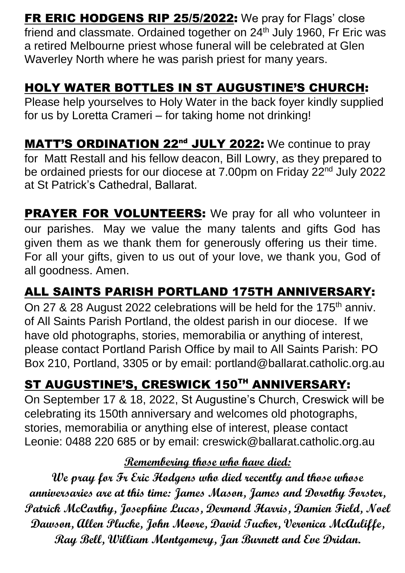**FR ERIC HODGENS RIP 25/5/2022:** We pray for Flags' close friend and classmate. Ordained together on 24<sup>th</sup> July 1960, Fr Eric was a retired Melbourne priest whose funeral will be celebrated at Glen Waverley North where he was parish priest for many years.

### HOLY WATER BOTTLES IN ST AUGUSTINE'S CHURCH:

Please help yourselves to Holy Water in the back foyer kindly supplied for us by Loretta Crameri – for taking home not drinking!

MATT'S ORDINATION 22<sup>nd</sup> JULY 2022: We continue to pray for Matt Restall and his fellow deacon, Bill Lowry, as they prepared to be ordained priests for our diocese at 7.00pm on Friday 22<sup>nd</sup> July 2022 at St Patrick's Cathedral, Ballarat.

**PRAYER FOR VOLUNTEERS:** We pray for all who volunteer in our parishes. May we value the many talents and gifts God has given them as we thank them for generously offering us their time. For all your gifts, given to us out of your love, we thank you, God of all goodness. Amen.

## ALL SAINTS PARISH PORTLAND 175TH ANNIVERSARY:

On 27 & 28 August 2022 celebrations will be held for the 175<sup>th</sup> anniv. of All Saints Parish Portland, the oldest parish in our diocese. If we have old photographs, stories, memorabilia or anything of interest, please contact Portland Parish Office by mail to All Saints Parish: PO Box 210, Portland, 3305 or by email: [portland@ballarat.catholic.org.au](mailto:portland@ballarat.catholic.org.au)

## ST AUGUSTINE'S, CRESWICK 150TH ANNIVERSARY:

On September 17 & 18, 2022, St Augustine's Church, Creswick will be celebrating its 150th anniversary and welcomes old photographs, stories, memorabilia or anything else of interest, please contact Leonie: 0488 220 685 or by email: [creswick@ballarat.catholic.org.au](mailto:creswick@ballarat.catholic.org.auy)

#### **Remembering those who have died:**

**We pray for Fr Eric Hodgens who died recently and those whose anniversaries are at this time: James Mason, James and Dorothy Forster, Patrick McCarthy, Josephine Lucas, Dermond Harris, Damien Field, Noel Dawson, Allen Plucke, John Moore, David Tucker, Veronica McAuliffe, Ray Bell, William Montgomery, Jan Burnett and Eve Dridan.**